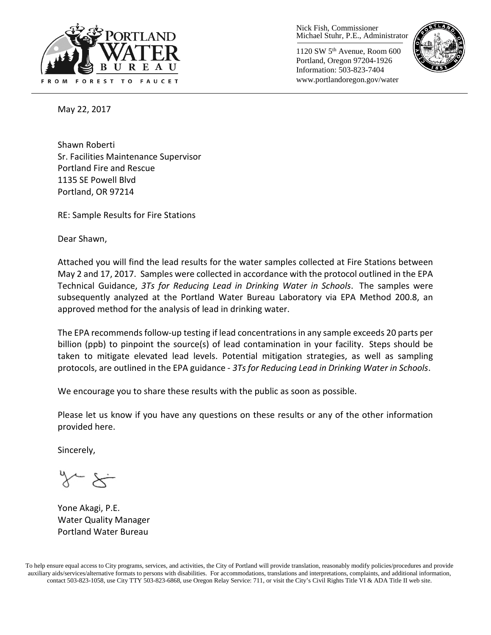

Nick Fish, Commissioner Michael Stuhr, P.E., Administrator

1120 SW 5th Avenue, Room 600 Portland, Oregon 97204-1926 Information: 503-823-7404 www.portlandoregon.gov/water



May 22, 2017

Shawn Roberti Sr. Facilities Maintenance Supervisor Portland Fire and Rescue 1135 SE Powell Blvd Portland, OR 97214

RE: Sample Results for Fire Stations

Dear Shawn,

Attached you will find the lead results for the water samples collected at Fire Stations between May 2 and 17, 2017. Samples were collected in accordance with the protocol outlined in the EPA Technical Guidance, *3Ts for Reducing Lead in Drinking Water in Schools*. The samples were subsequently analyzed at the Portland Water Bureau Laboratory via EPA Method 200.8, an approved method for the analysis of lead in drinking water.

The EPA recommends follow-up testing if lead concentrations in any sample exceeds 20 parts per billion (ppb) to pinpoint the source(s) of lead contamination in your facility. Steps should be taken to mitigate elevated lead levels. Potential mitigation strategies, as well as sampling protocols, are outlined in the EPA guidance - *3Ts for Reducing Lead in Drinking Water in Schools*.

We encourage you to share these results with the public as soon as possible.

Please let us know if you have any questions on these results or any of the other information provided here.

Sincerely,

Yone Akagi, P.E. Water Quality Manager Portland Water Bureau

To help ensure equal access to City programs, services, and activities, the City of Portland will provide translation, reasonably modify policies/procedures and provide auxiliary aids/services/alternative formats to persons with disabilities. For accommodations, translations and interpretations, complaints, and additional information, contact 503-823-1058, use City TTY 503-823-6868, use Oregon Relay Service: 711, or visi[t the City's Civil Rights Title VI & ADA Title II web site.](http://www.portlandoregon.gov/oehr/66458)